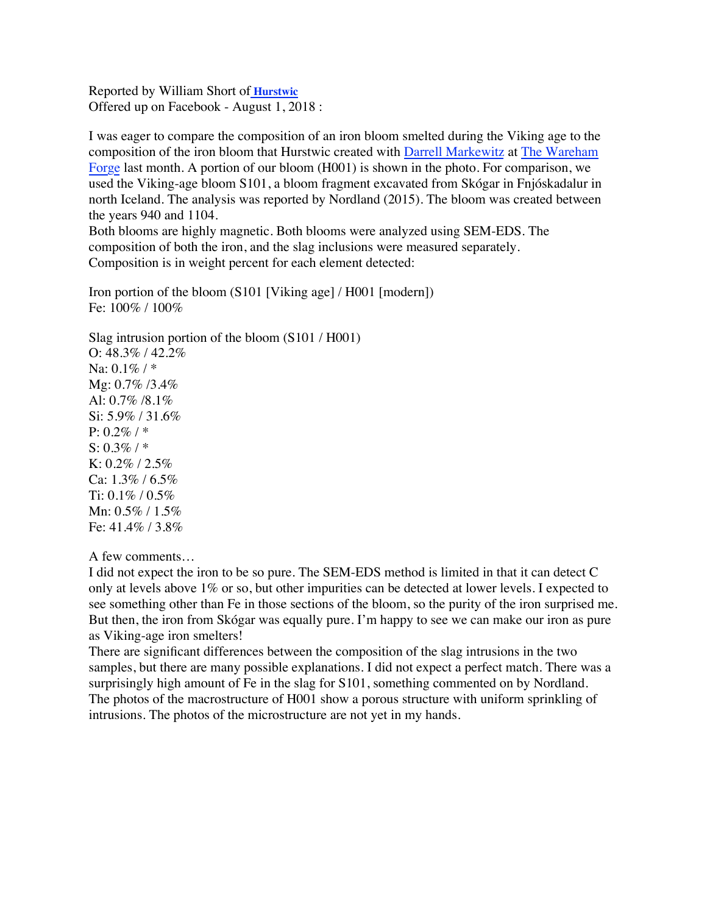Reported by William Short of **[Hurstwic](https://www.facebook.com/hurstwic/?hc_ref=ARTLlOTVv__xWGJzWMouAPOHqh2uk2M9xskem0MsHxI4IfOxi7XQTzTz1kjg_BvocHE&fref=nf)** Offered up on Facebook - August 1, 2018 :

I was eager to compare the composition of an iron bloom smelted during the Viking age to the composition of the iron bloom that Hurstwic created with [Darrell Markewitz](https://www.facebook.com/darrell.markewitz?fref=mentions) at [The Wareham](https://www.facebook.com/warehamforge.ca/?fref=mentions)  [Forge](https://www.facebook.com/warehamforge.ca/?fref=mentions) last month. A portion of our bloom (H001) is shown in the photo. For comparison, we used the Viking-age bloom S101, a bloom fragment excavated from Skógar in Fnjóskadalur in north Iceland. The analysis was reported by Nordland (2015). The bloom was created between the years 940 and 1104.

Both blooms are highly magnetic. Both blooms were analyzed using SEM-EDS. The composition of both the iron, and the slag inclusions were measured separately. Composition is in weight percent for each element detected:

Iron portion of the bloom (S101 [Viking age] / H001 [modern]) Fe: 100% / 100%

Slag intrusion portion of the bloom (S101 / H001)

O: 48.3% / 42.2% Na:  $0.1\% / *$ Mg: 0.7% /3.4% Al: 0.7% /8.1% Si: 5.9% / 31.6% P: 0.2% / \*  $S: 0.3\% / *$ K: 0.2% / 2.5% Ca: 1.3% / 6.5% Ti: 0.1% / 0.5% Mn: 0.5% / 1.5% Fe: 41.4% / 3.8%

A few comments…

I did not expect the iron to be so pure. The SEM-EDS method is limited in that it can detect C only at levels above 1% or so, but other impurities can be detected at lower levels. I expected to see something other than Fe in those sections of the bloom, so the purity of the iron surprised me. But then, the iron from Skógar was equally pure. I'm happy to see we can make our iron as pure as Viking-age iron smelters!

There are significant differences between the composition of the slag intrusions in the two samples, but there are many possible explanations. I did not expect a perfect match. There was a surprisingly high amount of Fe in the slag for S101, something commented on by Nordland. The photos of the macrostructure of H001 show a porous structure with uniform sprinkling of intrusions. The photos of the microstructure are not yet in my hands.